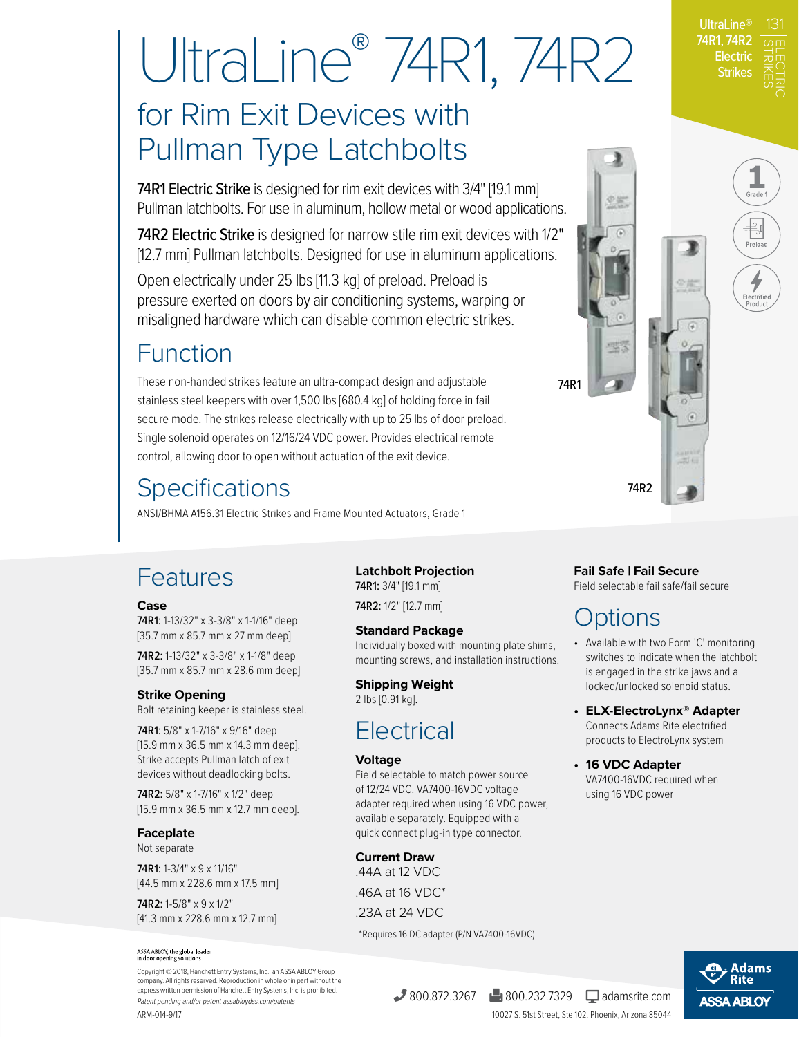STRIKES UltraLine® 74R1, 74R2 **Electric Strikes** 

Prolo

受益。

ELECTRIC

# UltraLine® 74R1, 74R2

# for Rim Exit Devices with Pullman Type Latchbolts

74R1 Electric Strike is designed for rim exit devices with 3/4" [19.1 mm] Pullman latchbolts. For use in aluminum, hollow metal or wood applications.

74R2 Electric Strike is designed for narrow stile rim exit devices with 1/2" [12.7 mm] Pullman latchbolts. Designed for use in aluminum applications.

Open electrically under 25 lbs [11.3 kg] of preload. Preload is pressure exerted on doors by air conditioning systems, warping or misaligned hardware which can disable common electric strikes.

## Function

These non-handed strikes feature an ultra-compact design and adjustable stainless steel keepers with over 1,500 lbs [680.4 kg] of holding force in fail secure mode. The strikes release electrically with up to 25 lbs of door preload. Single solenoid operates on 12/16/24 VDC power. Provides electrical remote control, allowing door to open without actuation of the exit device.

# **Specifications**

ANSI/BHMA A156.31 Electric Strikes and Frame Mounted Actuators, Grade 1

## Features

#### **Case**

74R1: 1-13/32" x 3-3/8" x 1-1/16" deep [35.7 mm x 85.7 mm x 27 mm deep]

74R2: 1-13/32" x 3-3/8" x 1-1/8" deep [35.7 mm x 85.7 mm x 28.6 mm deep]

#### **Strike Opening**

Bolt retaining keeper is stainless steel.

74R1: 5/8" x 1-7/16" x 9/16" deep [15.9 mm x 36.5 mm x 14.3 mm deep]. Strike accepts Pullman latch of exit devices without deadlocking bolts.

74R2: 5/8" x 1-7/16" x 1/2" deep [15.9 mm x 36.5 mm x 12.7 mm deep].

#### **Faceplate**

Not separate

74R1: 1-3/4" x 9 x 11/16" [44.5 mm x 228.6 mm x 17.5 mm]

74R2: 1-5/8" x 9 x 1/2" [41.3 mm x 228.6 mm x 12.7 mm]

#### ASSA ABLOY, the global leader<br>in door opening solutions

ARM-014-9/17 Copyright © 2018, Hanchett Entry Systems, Inc., an ASSA ABLOY Group company. All rights reserved. Reproduction in whole or in part without the express written permission of Hanchett Entry Systems, Inc. is prohibited. Patent pending and/or patent assabloydss.com/patents

**Latchbolt Projection**  74R1: 3/4" [19.1 mm]

74R2: 1/2" [12.7 mm]

#### **Standard Package**

Individually boxed with mounting plate shims, mounting screws, and installation instructions.

#### **Shipping Weight**

2 lbs [0.91 kg].

## **Electrical**

#### **Voltage**

Field selectable to match power source of 12/24 VDC. VA7400-16VDC voltage adapter required when using 16 VDC power, available separately. Equipped with a quick connect plug-in type connector.

**Current Draw** .44A at 12 VDC .46A at 16 VDC\* .23A at 24 VDC

\*Requires 16 DC adapter (P/N VA7400-16VDC)

#### **Fail Safe | Fail Secure**

74R2

53

74R1

Field selectable fail safe/fail secure

## Options

- Available with two Form 'C' monitoring switches to indicate when the latchbolt is engaged in the strike jaws and a locked/unlocked solenoid status.
- **ELX-ElectroLynx® Adapter** Connects Adams Rite electrified products to ElectroLynx system
- **16 VDC Adapter** VA7400-16VDC required when using 16 VDC power



 $\frac{1}{2800.872.3267}$   $\frac{1}{2800.232.7329}$  adamsrite.com

10027 S. 51st Street, Ste 102, Phoenix, Arizona 85044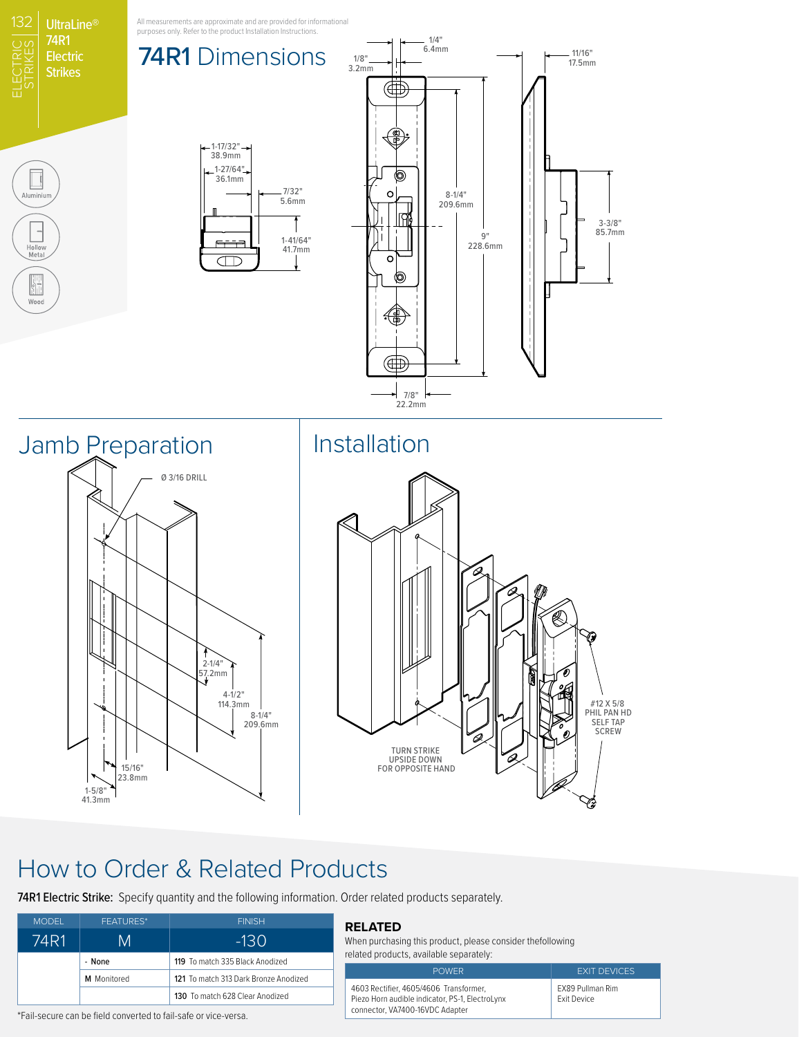

## How to Order & Related Products

74R1 Electric Strike: Specify quantity and the following information. Order related products separately.

| <b>FEATURES*</b> | <b>FINISH</b>                         |
|------------------|---------------------------------------|
| M                | -130                                  |
| - None           | 119 To match 335 Black Anodized       |
| M Monitored      | 121 To match 313 Dark Bronze Anodized |
|                  | 130 To match 628 Clear Anodized       |
|                  |                                       |

#### **RELATED**

When purchasing this product, please consider thefollowing related products, available separately:

4603 Rectifier, 4605/4606 Transformer, Piezo Horn audible indicator, PS-1, ElectroLynx connector, VA7400-16VDC Adapter

POWER **EXIT DEVICES** EX89 Pullman Rim Exit Device

\*Fail-secure can be field converted to fail-safe or vice-versa.